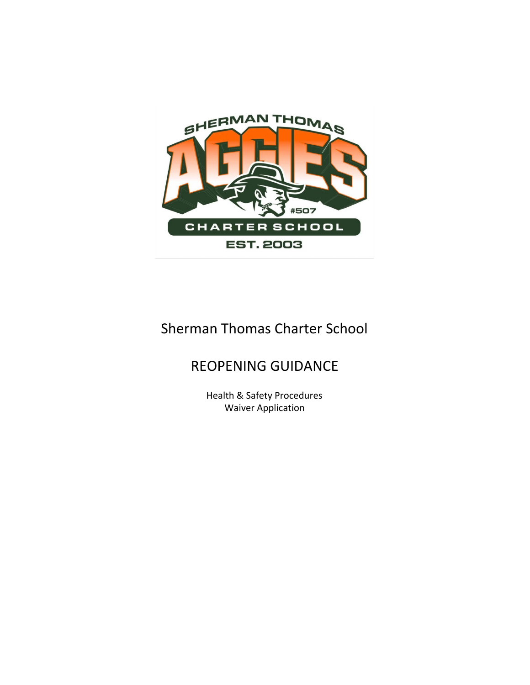

# Sherman Thomas Charter School

## REOPENING GUIDANCE

Health & Safety Procedures Waiver Application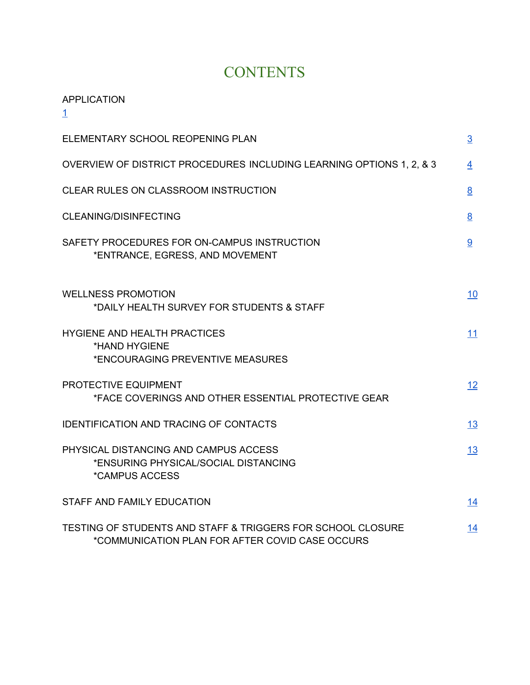# **CONTENTS**

#### APPLICATION

[1](#page-2-0)

| ELEMENTARY SCHOOL REOPENING PLAN                                                                               | $\overline{3}$ |
|----------------------------------------------------------------------------------------------------------------|----------------|
| OVERVIEW OF DISTRICT PROCEDURES INCLUDING LEARNING OPTIONS 1, 2, & 3                                           | 4              |
| CLEAR RULES ON CLASSROOM INSTRUCTION                                                                           | 8              |
| <b>CLEANING/DISINFECTING</b>                                                                                   | 8              |
| SAFETY PROCEDURES FOR ON-CAMPUS INSTRUCTION<br>*ENTRANCE, EGRESS, AND MOVEMENT                                 | 9              |
| <b>WELLNESS PROMOTION</b><br>*DAILY HEALTH SURVEY FOR STUDENTS & STAFF                                         | 10             |
| <b>HYGIENE AND HEALTH PRACTICES</b><br>*HAND HYGIENE<br>*ENCOURAGING PREVENTIVE MEASURES                       | 11             |
| PROTECTIVE EQUIPMENT<br>*FACE COVERINGS AND OTHER ESSENTIAL PROTECTIVE GEAR                                    | 12             |
| <b>IDENTIFICATION AND TRACING OF CONTACTS</b>                                                                  | 13             |
| PHYSICAL DISTANCING AND CAMPUS ACCESS<br>*ENSURING PHYSICAL/SOCIAL DISTANCING<br>*CAMPUS ACCESS                | <u>13</u>      |
| STAFF AND FAMILY EDUCATION                                                                                     | 14             |
| TESTING OF STUDENTS AND STAFF & TRIGGERS FOR SCHOOL CLOSURE<br>*COMMUNICATION PLAN FOR AFTER COVID CASE OCCURS | 14             |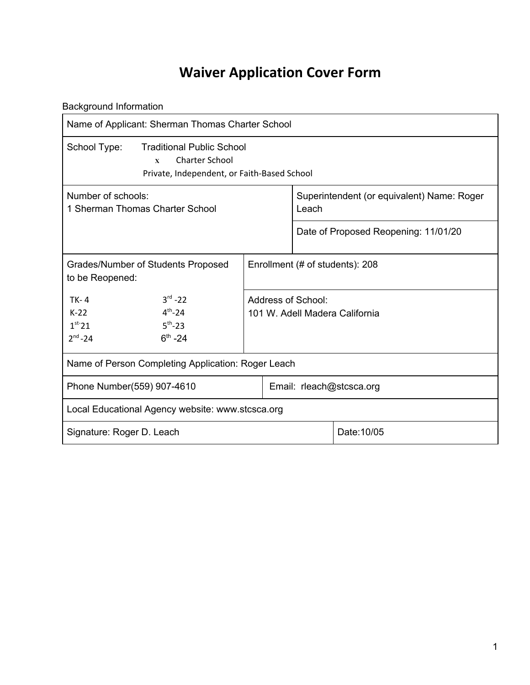# **Waiver Application Cover Form**

<span id="page-2-0"></span>Background Information

| Name of Applicant: Sherman Thomas Charter School                                                                                         |                                                      |                                 |                                                     |  |
|------------------------------------------------------------------------------------------------------------------------------------------|------------------------------------------------------|---------------------------------|-----------------------------------------------------|--|
| School Type:<br><b>Traditional Public School</b><br><b>Charter School</b><br>$\mathbf{x}$<br>Private, Independent, or Faith-Based School |                                                      |                                 |                                                     |  |
| Number of schools:<br>1 Sherman Thomas Charter School                                                                                    |                                                      |                                 | Superintendent (or equivalent) Name: Roger<br>Leach |  |
|                                                                                                                                          |                                                      |                                 | Date of Proposed Reopening: 11/01/20                |  |
| Grades/Number of Students Proposed<br>to be Reopened:                                                                                    |                                                      | Enrollment (# of students): 208 |                                                     |  |
| $3^{rd} - 22$<br>$TK-4$<br>$4^{th} - 24$<br>$K-22$<br>$5^{th} - 23$<br>$1st$ 21<br>$2^{nd} - 24$<br>$6^{th} - 24$                        | Address of School:<br>101 W. Adell Madera California |                                 |                                                     |  |
| Name of Person Completing Application: Roger Leach                                                                                       |                                                      |                                 |                                                     |  |
| Phone Number(559) 907-4610                                                                                                               |                                                      |                                 | Email: rleach@stcsca.org                            |  |
| Local Educational Agency website: www.stcsca.org                                                                                         |                                                      |                                 |                                                     |  |
| Date: 10/05<br>Signature: Roger D. Leach                                                                                                 |                                                      |                                 |                                                     |  |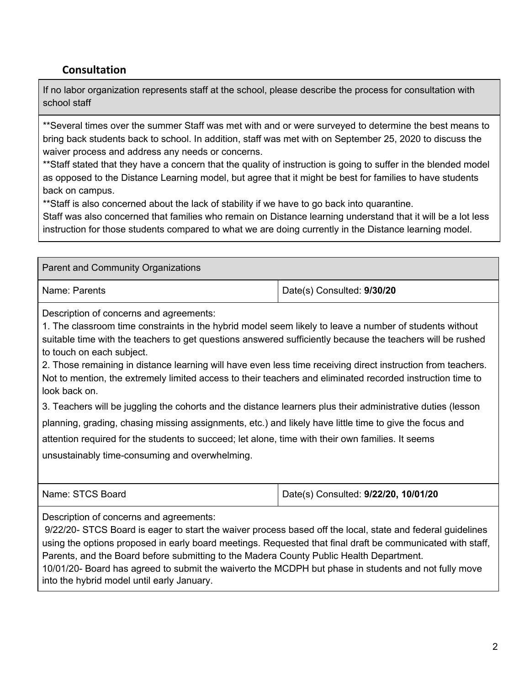#### **Consultation**

If no labor organization represents staff at the school, please describe the process for consultation with school staff

\*\*Several times over the summer Staff was met with and or were surveyed to determine the best means to bring back students back to school. In addition, staff was met with on September 25, 2020 to discuss the waiver process and address any needs or concerns.

\*\*Staff stated that they have a concern that the quality of instruction is going to suffer in the blended model as opposed to the Distance Learning model, but agree that it might be best for families to have students back on campus.

\*\*Staff is also concerned about the lack of stability if we have to go back into quarantine.

Staff was also concerned that families who remain on Distance learning understand that it will be a lot less instruction for those students compared to what we are doing currently in the Distance learning model.

Parent and Community Organizations Name: Parents **Date(s)** Consulted: **9/30/20** 

Description of concerns and agreements:

1. The classroom time constraints in the hybrid model seem likely to leave a number of students without suitable time with the teachers to get questions answered sufficiently because the teachers will be rushed to touch on each subject.

2. Those remaining in distance learning will have even less time receiving direct instruction from teachers. Not to mention, the extremely limited access to their teachers and eliminated recorded instruction time to look back on.

3. Teachers will be juggling the cohorts and the distance learners plus their administrative duties (lesson planning, grading, chasing missing assignments, etc.) and likely have little time to give the focus and

attention required for the students to succeed; let alone, time with their own families. It seems

unsustainably time-consuming and overwhelming.

Name: STCS Board **Date(s)** Consulted: **9/22/20, 10/01/20** 

Description of concerns and agreements:

9/22/20- STCS Board is eager to start the waiver process based off the local, state and federal guidelines using the options proposed in early board meetings. Requested that final draft be communicated with staff, Parents, and the Board before submitting to the Madera County Public Health Department.

10/01/20- Board has agreed to submit the waiverto the MCDPH but phase in students and not fully move into the hybrid model until early January.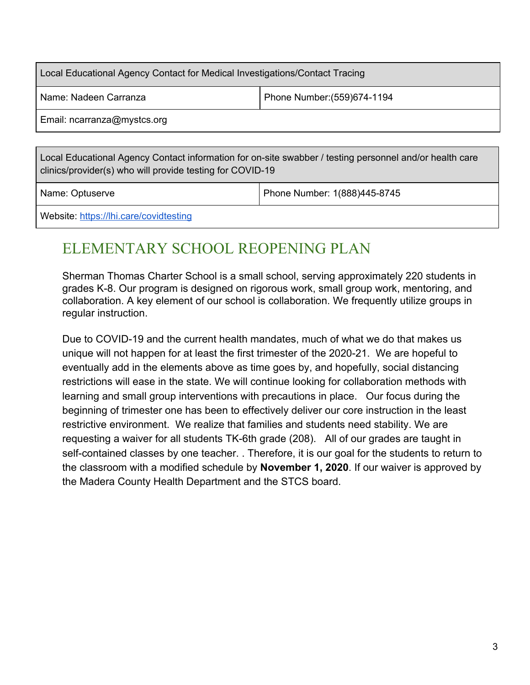| Local Educational Agency Contact for Medical Investigations/Contact Tracing |  |  |  |  |
|-----------------------------------------------------------------------------|--|--|--|--|
| Phone Number: (559) 674-1194<br>Name: Nadeen Carranza                       |  |  |  |  |
| Email: ncarranza@mystcs.org                                                 |  |  |  |  |

Local Educational Agency Contact information for on-site swabber / testing personnel and/or health care clinics/provider(s) who will provide testing for COVID-19

Name: Optuserve Phone Number: 1(888)445-8745

Website: <https://lhi.care/covidtesting>

# <span id="page-4-0"></span>ELEMENTARY SCHOOL REOPENING PLAN

Sherman Thomas Charter School is a small school, serving approximately 220 students in grades K-8. Our program is designed on rigorous work, small group work, mentoring, and collaboration. A key element of our school is collaboration. We frequently utilize groups in regular instruction.

<span id="page-4-1"></span>Due to COVID-19 and the current health mandates, much of what we do that makes us unique will not happen for at least the first trimester of the 2020-21. We are hopeful to eventually add in the elements above as time goes by, and hopefully, social distancing restrictions will ease in the state. We will continue looking for collaboration methods with learning and small group interventions with precautions in place. Our focus during the beginning of trimester one has been to effectively deliver our core instruction in the least restrictive environment. We realize that families and students need stability. We are requesting a waiver for all students TK-6th grade (208). All of our grades are taught in self-contained classes by one teacher. . Therefore, it is our goal for the students to return to the classroom with a modified schedule by **November 1, 2020**. If our waiver is approved by the Madera County Health Department and the STCS board.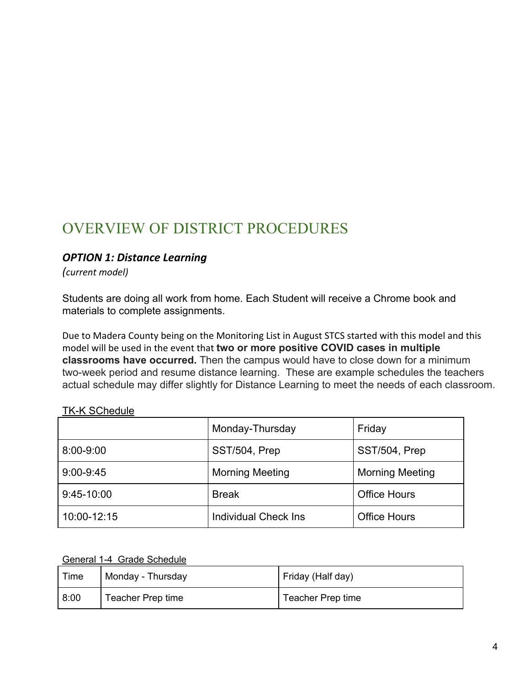# OVERVIEW OF DISTRICT PROCEDURES

#### *OPTION 1: Distance Learning*

*(current model)*

Students are doing all work from home. Each Student will receive a Chrome book and materials to complete assignments.

Due to Madera County being on the Monitoring List in August STCS started with this model and this model will be used in the event that **two or more positive COVID cases in multiple classrooms have occurred.** Then the campus would have to close down for a minimum two-week period and resume distance learning. These are example schedules the teachers actual schedule may differ slightly for Distance Learning to meet the needs of each classroom.

#### TK-K SChedule

|               | Monday-Thursday             | Friday                 |
|---------------|-----------------------------|------------------------|
| 8:00-9:00     | SST/504, Prep               | SST/504, Prep          |
| $9:00 - 9:45$ | <b>Morning Meeting</b>      | <b>Morning Meeting</b> |
| 9:45-10:00    | <b>Break</b>                | <b>Office Hours</b>    |
| 10:00-12:15   | <b>Individual Check Ins</b> | <b>Office Hours</b>    |

General 1-4 Grade Schedule

| Time | Monday - Thursday | Friday (Half day) |
|------|-------------------|-------------------|
| 8:00 | Teacher Prep time | Teacher Prep time |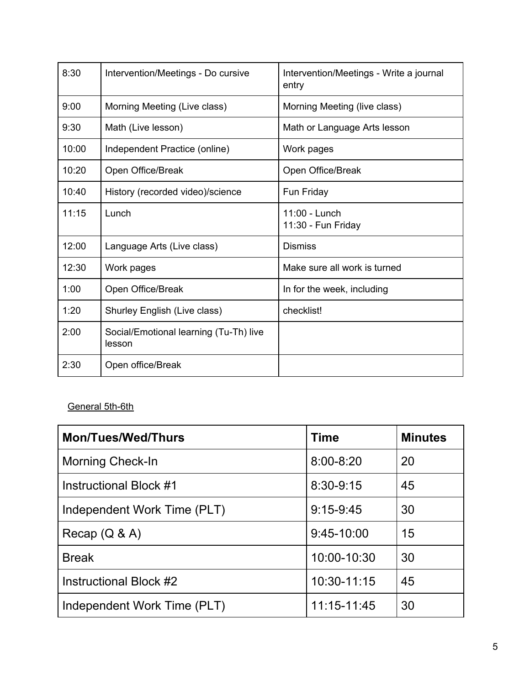| 8:30  | Intervention/Meetings - Do cursive               | Intervention/Meetings - Write a journal<br>entry |
|-------|--------------------------------------------------|--------------------------------------------------|
| 9:00  | Morning Meeting (Live class)                     | Morning Meeting (live class)                     |
| 9:30  | Math (Live lesson)                               | Math or Language Arts lesson                     |
| 10:00 | Independent Practice (online)                    | Work pages                                       |
| 10:20 | Open Office/Break                                | Open Office/Break                                |
| 10:40 | History (recorded video)/science                 | Fun Friday                                       |
| 11:15 | Lunch                                            | 11:00 - Lunch<br>11:30 - Fun Friday              |
| 12:00 | Language Arts (Live class)                       | <b>Dismiss</b>                                   |
| 12:30 | Work pages                                       | Make sure all work is turned                     |
| 1:00  | Open Office/Break                                | In for the week, including                       |
| 1:20  | Shurley English (Live class)                     | checklist!                                       |
| 2:00  | Social/Emotional learning (Tu-Th) live<br>lesson |                                                  |
| 2:30  | Open office/Break                                |                                                  |

### General 5th-6th

| <b>Mon/Tues/Wed/Thurs</b>   | <b>Time</b>   | <b>Minutes</b> |
|-----------------------------|---------------|----------------|
| <b>Morning Check-In</b>     | $8:00 - 8:20$ | 20             |
| Instructional Block #1      | 8:30-9:15     | 45             |
| Independent Work Time (PLT) | $9:15-9:45$   | 30             |
| Recap $(Q & A)$             | $9:45-10:00$  | 15             |
| <b>Break</b>                | 10:00-10:30   | 30             |
| Instructional Block #2      | 10:30-11:15   | 45             |
| Independent Work Time (PLT) | 11:15-11:45   | 30             |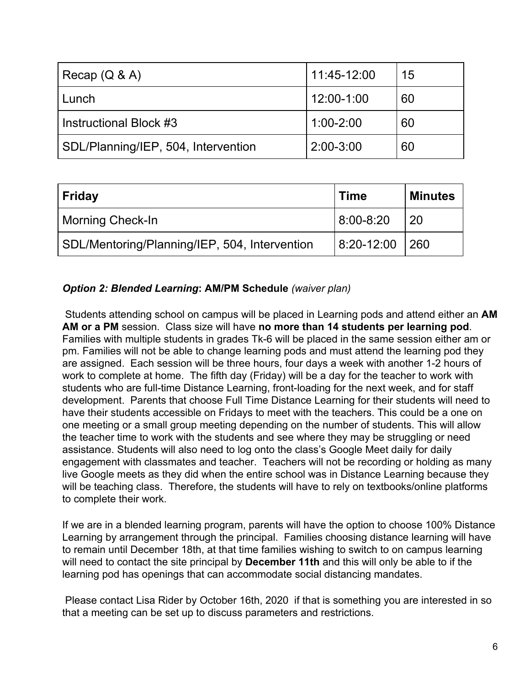| Recap $(Q & A)$                     | 11:45-12:00   | 15 |
|-------------------------------------|---------------|----|
| Lunch                               | 12:00-1:00    | 60 |
| Instructional Block #3              | $1:00 - 2:00$ | 60 |
| SDL/Planning/IEP, 504, Intervention | 2:00-3:00     | 60 |

| Friday                                        | <b>Time</b>     | <b>Minutes</b> |
|-----------------------------------------------|-----------------|----------------|
| <b>Morning Check-In</b>                       | $ 8:00 - 8:20 $ | -20            |
| SDL/Mentoring/Planning/IEP, 504, Intervention | $ 8:20 - 12:00$ | 260            |

#### *Option 2: Blended Learning***: AM/PM Schedule** *(waiver plan)*

 Students attending school on campus will be placed in Learning pods and attend either an **AM AM or a PM** session. Class size will have **no more than 14 students per learning pod**. Families with multiple students in grades Tk-6 will be placed in the same session either am or pm. Families will not be able to change learning pods and must attend the learning pod they are assigned. Each session will be three hours, four days a week with another 1-2 hours of work to complete at home. The fifth day (Friday) will be a day for the teacher to work with students who are full-time Distance Learning, front-loading for the next week, and for staff development. Parents that choose Full Time Distance Learning for their students will need to have their students accessible on Fridays to meet with the teachers. This could be a one on one meeting or a small group meeting depending on the number of students. This will allow the teacher time to work with the students and see where they may be struggling or need assistance. Students will also need to log onto the class's Google Meet daily for daily engagement with classmates and teacher. Teachers will not be recording or holding as many live Google meets as they did when the entire school was in Distance Learning because they will be teaching class. Therefore, the students will have to rely on textbooks/online platforms to complete their work.

If we are in a blended learning program, parents will have the option to choose 100% Distance Learning by arrangement through the principal. Families choosing distance learning will have to remain until December 18th, at that time families wishing to switch to on campus learning will need to contact the site principal by **December 11th** and this will only be able to if the learning pod has openings that can accommodate social distancing mandates.

 Please contact Lisa Rider by October 16th, 2020 if that is something you are interested in so that a meeting can be set up to discuss parameters and restrictions.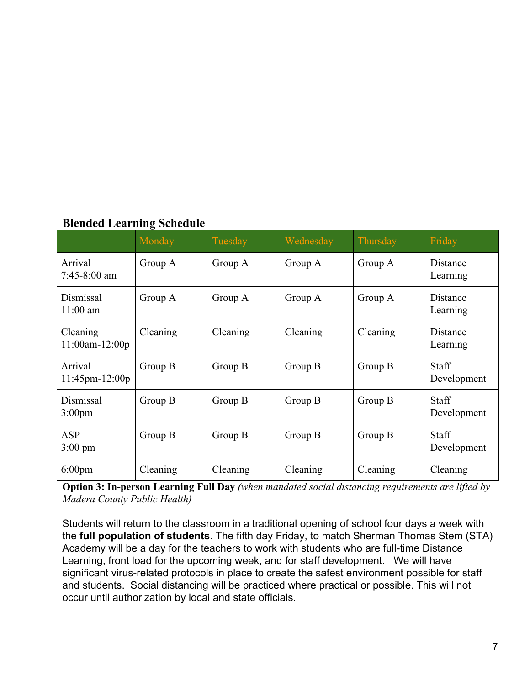| <b>Blended Learning Schedule</b> |  |
|----------------------------------|--|
|----------------------------------|--|

|                                  | o<br>Monday | Tuesday  | Wednesday | Thursday | Friday                      |
|----------------------------------|-------------|----------|-----------|----------|-----------------------------|
| Arrival<br>$7:45-8:00$ am        | Group A     | Group A  | Group A   | Group A  | Distance<br>Learning        |
| Dismissal<br>$11:00$ am          | Group A     | Group A  | Group A   | Group A  | Distance<br>Learning        |
| Cleaning<br>$11:00$ am- $12:00p$ | Cleaning    | Cleaning | Cleaning  | Cleaning | Distance<br>Learning        |
| Arrival<br>$11:45$ pm- $12:00$ p | Group B     | Group B  | Group B   | Group B  | <b>Staff</b><br>Development |
| Dismissal<br>3:00 <sub>pm</sub>  | Group B     | Group B  | Group B   | Group B  | <b>Staff</b><br>Development |
| <b>ASP</b><br>$3:00 \text{ pm}$  | Group B     | Group B  | Group B   | Group B  | <b>Staff</b><br>Development |
| $6:00 \text{pm}$                 | Cleaning    | Cleaning | Cleaning  | Cleaning | Cleaning                    |

**Option 3: In-person Learning Full Day** *(when mandated social distancing requirements are lifted by Madera County Public Health)*

Students will return to the classroom in a traditional opening of school four days a week with the **full population of students**. The fifth day Friday, to match Sherman Thomas Stem (STA) Academy will be a day for the teachers to work with students who are full-time Distance Learning, front load for the upcoming week, and for staff development. We will have significant virus-related protocols in place to create the safest environment possible for staff and students. Social distancing will be practiced where practical or possible. This will not occur until authorization by local and state officials.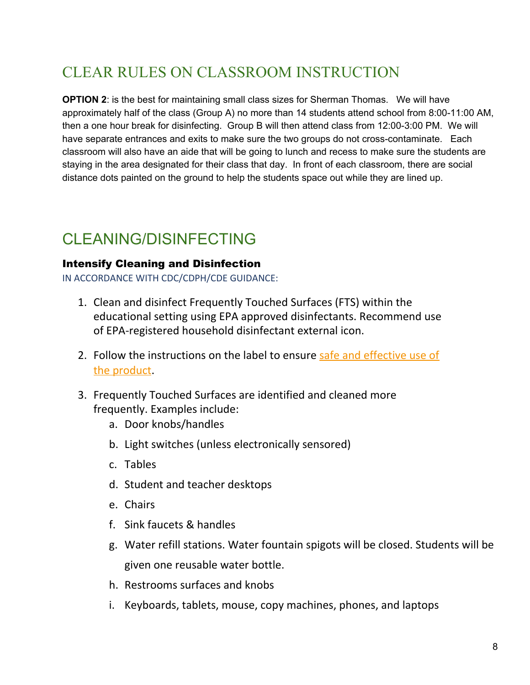# CLEAR RULES ON CLASSROOM INSTRUCTION

**OPTION 2**: is the best for maintaining small class sizes for Sherman Thomas. We will have approximately half of the class (Group A) no more than 14 students attend school from 8:00-11:00 AM, then a one hour break for disinfecting. Group B will then attend class from 12:00-3:00 PM. We will have separate entrances and exits to make sure the two groups do not cross-contaminate. Each classroom will also have an aide that will be going to lunch and recess to make sure the students are staying in the area designated for their class that day. In front of each classroom, there are social distance dots painted on the ground to help the students space out while they are lined up.

# <span id="page-9-0"></span>CLEANING/DISINFECTING

#### Intensify Cleaning and Disinfection

IN ACCORDANCE WITH CDC/CDPH/CDE GUIDANCE:

- 1. Clean and disinfect Frequently Touched Surfaces (FTS) within the educational setting using EPA approved disinfectants. Recommend use of EPA-registered household disinfectant external icon.
- 2. Follow the instructions on the label to ensure safe and [effective](https://www.cdc.gov/coronavirus/2019-ncov/community/disinfecting-building-facility.html) use of [the](https://www.cdc.gov/coronavirus/2019-ncov/community/disinfecting-building-facility.html) product.
- 3. Frequently Touched Surfaces are identified and cleaned more frequently. Examples include:
	- a. Door knobs/handles
	- b. Light switches (unless electronically sensored)
	- c. Tables
	- d. Student and teacher desktops
	- e. Chairs
	- f. Sink faucets & handles
	- g. Water refill stations. Water fountain spigots will be closed. Students will be given one reusable water bottle.
	- h. Restrooms surfaces and knobs
	- i. Keyboards, tablets, mouse, copy machines, phones, and laptops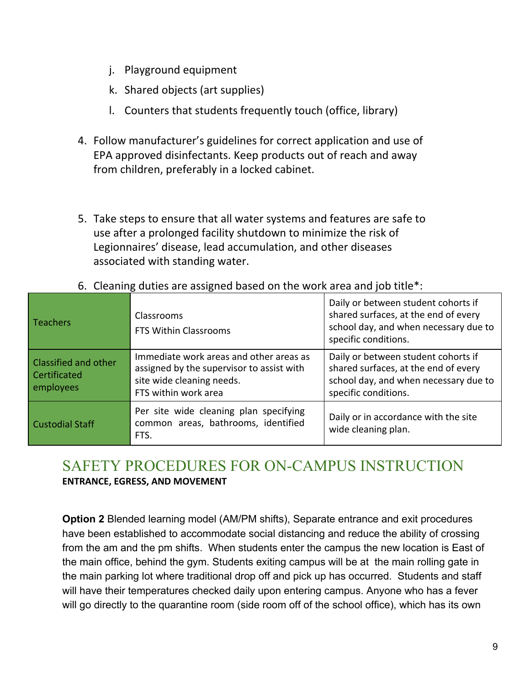- j. Playground equipment
- k. Shared objects (art supplies)
- l. Counters that students frequently touch (office, library)
- 4. Follow manufacturer's guidelines for correct application and use of EPA approved disinfectants. Keep products out of reach and away from children, preferably in a locked cabinet.
- 5. Take steps to ensure that all water systems and features are safe to use after a prolonged facility shutdown to minimize the risk of Legionnaires' disease, lead accumulation, and other diseases associated with standing water.

| Teachers                                                        | Classrooms<br>FTS Within Classrooms                                                                                                       | Daily or between student cohorts if<br>shared surfaces, at the end of every<br>school day, and when necessary due to<br>specific conditions. |
|-----------------------------------------------------------------|-------------------------------------------------------------------------------------------------------------------------------------------|----------------------------------------------------------------------------------------------------------------------------------------------|
| <b>Classified and other</b><br><b>Certificated</b><br>employees | Immediate work areas and other areas as<br>assigned by the supervisor to assist with<br>site wide cleaning needs.<br>FTS within work area | Daily or between student cohorts if<br>shared surfaces, at the end of every<br>school day, and when necessary due to<br>specific conditions. |
| <b>Custodial Staff</b>                                          | Per site wide cleaning plan specifying<br>common areas, bathrooms, identified<br>FTS.                                                     | Daily or in accordance with the site<br>wide cleaning plan.                                                                                  |

6. Cleaning duties are assigned based on the work area and job title\*:

# <span id="page-10-0"></span>SAFETY PROCEDURES FOR ON-CAMPUS INSTRUCTION

**ENTRANCE, EGRESS, AND MOVEMENT**

**Option 2** Blended learning model (AM/PM shifts), Separate entrance and exit procedures have been established to accommodate social distancing and reduce the ability of crossing from the am and the pm shifts. When students enter the campus the new location is East of the main office, behind the gym. Students exiting campus will be at the main rolling gate in the main parking lot where traditional drop off and pick up has occurred. Students and staff will have their temperatures checked daily upon entering campus. Anyone who has a fever will go directly to the quarantine room (side room off of the school office), which has its own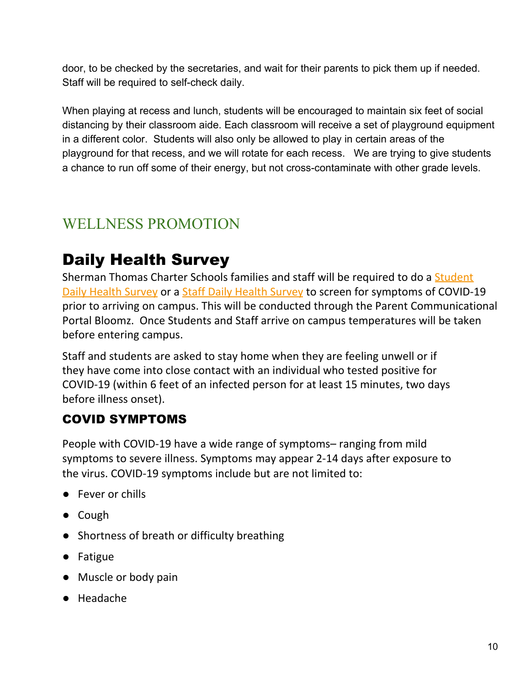door, to be checked by the secretaries, and wait for their parents to pick them up if needed. Staff will be required to self-check daily.

When playing at recess and lunch, students will be encouraged to maintain six feet of social distancing by their classroom aide. Each classroom will receive a set of playground equipment in a different color. Students will also only be allowed to play in certain areas of the playground for that recess, and we will rotate for each recess. We are trying to give students a chance to run off some of their energy, but not cross-contaminate with other grade levels.

# <span id="page-11-0"></span>WELLNESS PROMOTION

# Daily Health Survey

Sherman Thomas Charter Schools families and staff will be required to do a Student Daily Health Survey or a Staff Daily Health Survey to screen for symptoms of COVID-19 prior to arriving on campus. This will be conducted through the Parent Communicational Portal Bloomz. Once Students and Staff arrive on campus temperatures will be taken before entering campus.

Staff and students are asked to stay home when they are feeling unwell or if they have come into close contact with an individual who tested positive for COVID-19 (within 6 feet of an infected person for at least 15 minutes, two days before illness onset).

## COVID SYMPTOMS

People with COVID-19 have a wide range of symptoms– ranging from mild symptoms to severe illness. Symptoms may appear 2-14 days after exposure to the virus. COVID-19 symptoms include but are not limited to:

- Fever or chills
- Cough
- Shortness of breath or difficulty breathing
- Fatigue
- Muscle or body pain
- Headache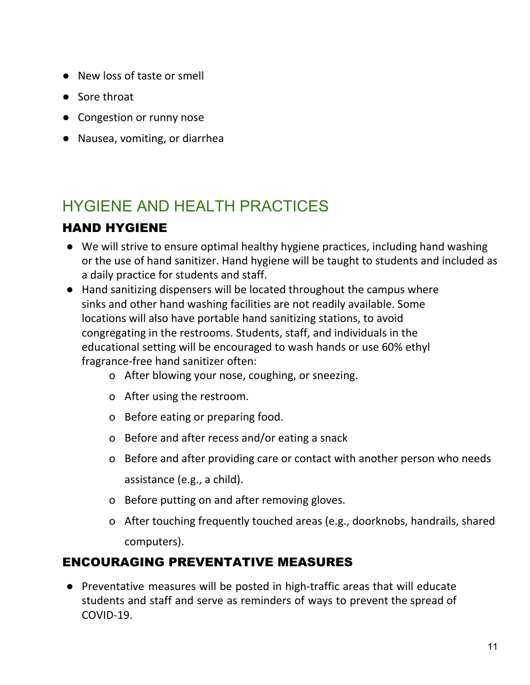- New loss of taste or smell
- Sore throat
- Congestion or runny nose
- Nausea, vomiting, or diarrhea

# <span id="page-12-0"></span>HYGIENE AND HEAI TH PRACTICES

## HAND HYGIENE

- We will strive to ensure optimal healthy hygiene practices, including hand washing or the use of hand sanitizer. Hand hygiene will be taught to students and included as a daily practice for students and staff.
- Hand sanitizing dispensers will be located throughout the campus where sinks and other hand washing facilities are not readily available. Some locations will also have portable hand sanitizing stations, to avoid congregating in the restrooms. Students, staff, and individuals in the educational setting will be encouraged to wash hands or use 60% ethyl fragrance-free hand sanitizer often:
	- o After blowing your nose, coughing, or sneezing.
	- o After using the restroom.
	- o Before eating or preparing food.
	- o Before and after recess and/or eating a snack
	- o Before and after providing care or contact with another person who needs assistance (e.g., a child).
	- o Before putting on and after removing gloves.
	- o After touching frequently touched areas (e.g., doorknobs, handrails, shared computers).

## ENCOURAGING PREVENTATIVE MEASURES

● Preventative measures will be posted in high-traffic areas that will educate students and staff and serve as reminders of ways to prevent the spread of COVID-19.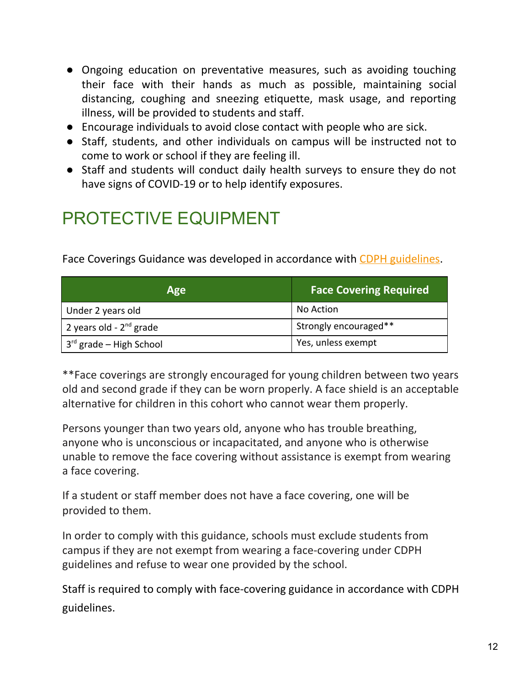- Ongoing education on preventative measures, such as avoiding touching their face with their hands as much as possible, maintaining social distancing, coughing and sneezing etiquette, mask usage, and reporting illness, will be provided to students and staff.
- Encourage individuals to avoid close contact with people who are sick.
- Staff, students, and other individuals on campus will be instructed not to come to work or school if they are feeling ill.
- Staff and students will conduct daily health surveys to ensure they do not have signs of COVID-19 or to help identify exposures.

# PROTECTIVE EQUIPMENT

Face Coverings Guidance was developed in accordance with CDPH [guidelines](https://www.cdph.ca.gov/Programs/CID/DCDC/CDPH%20Document%20Library/COVID-19/Guidance-for-Face-Coverings_06-18-2020.pdf).

| <b>Age</b>                   | <b>Face Covering Required</b> |  |
|------------------------------|-------------------------------|--|
| Under 2 years old            | No Action                     |  |
| 2 years old - $2^{nd}$ grade | Strongly encouraged**         |  |
| $3rd$ grade – High School    | Yes, unless exempt            |  |

\*\*Face coverings are strongly encouraged for young children between two years old and second grade if they can be worn properly. A face shield is an acceptable alternative for children in this cohort who cannot wear them properly.

Persons younger than two years old, anyone who has trouble breathing, anyone who is unconscious or incapacitated, and anyone who is otherwise unable to remove the face covering without assistance is exempt from wearing a face covering.

If a student or staff member does not have a face covering, one will be provided to them.

In order to comply with this guidance, schools must exclude students from campus if they are not exempt from wearing a face-covering under CDPH guidelines and refuse to wear one provided by the school.

Staff is required to comply with face-covering guidance in accordance with CDPH guidelines.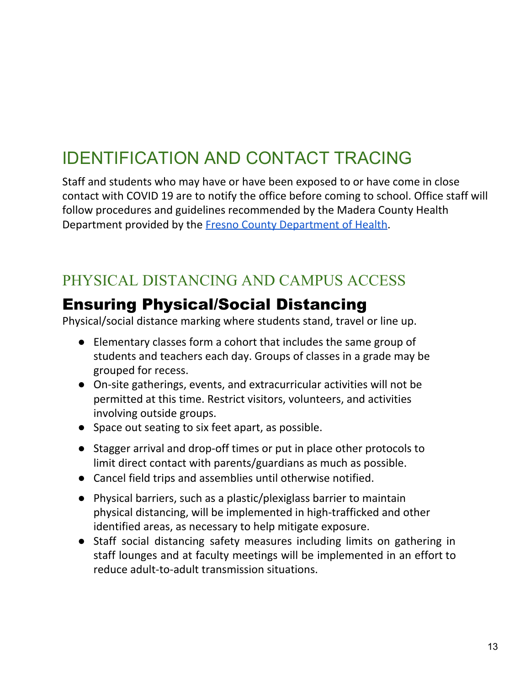# IDENTIFICATION AND CONTACT TRACING

Staff and students who may have or have been exposed to or have come in close contact with COVID 19 are to notify the office before coming to school. Office staff will follow procedures and guidelines recommended by the Madera County Health Department provided by the Fresno County [Department](https://www.co.fresno.ca.us/Home/ShowDocument?id=47342) of Health.

# <span id="page-14-0"></span>PHYSICAL DISTANCING AND CAMPUS ACCESS

# Ensuring Physical/Social Distancing

Physical/social distance marking where students stand, travel or line up.

- Elementary classes form a cohort that includes the same group of students and teachers each day. Groups of classes in a grade may be grouped for recess.
- On-site gatherings, events, and extracurricular activities will not be permitted at this time. Restrict visitors, volunteers, and activities involving outside groups.
- Space out seating to six feet apart, as possible.
- Stagger arrival and drop-off times or put in place other protocols to limit direct contact with parents/guardians as much as possible.
- Cancel field trips and assemblies until otherwise notified.
- Physical barriers, such as a plastic/plexiglass barrier to maintain physical distancing, will be implemented in high-trafficked and other identified areas, as necessary to help mitigate exposure.
- Staff social distancing safety measures including limits on gathering in staff lounges and at faculty meetings will be implemented in an effort to reduce adult-to-adult transmission situations.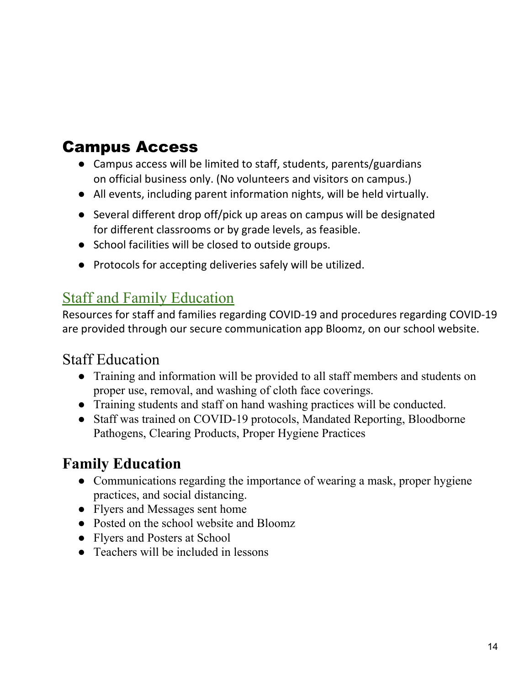# Campus Access

- Campus access will be limited to staff, students, parents/guardians on official business only. (No volunteers and visitors on campus.)
- All events, including parent information nights, will be held virtually.
- Several different drop off/pick up areas on campus will be designated for different classrooms or by grade levels, as feasible.
- School facilities will be closed to outside groups.
- Protocols for accepting deliveries safely will be utilized.

## <span id="page-15-0"></span>Staff and Family Education

Resources for staff and families regarding COVID-19 and procedures regarding COVID-19 are provided through our secure communication app Bloomz, on our school website.

## Staff Education

- Training and information will be provided to all staff members and students on proper use, removal, and washing of cloth face coverings.
- Training students and staff on hand washing practices will be conducted.
- Staff was trained on COVID-19 protocols, Mandated Reporting, Bloodborne Pathogens, Clearing Products, Proper Hygiene Practices

## **Family Education**

- Communications regarding the importance of wearing a mask, proper hygiene practices, and social distancing.
- Flyers and Messages sent home
- Posted on the school website and Bloomz
- Flyers and Posters at School
- Teachers will be included in lessons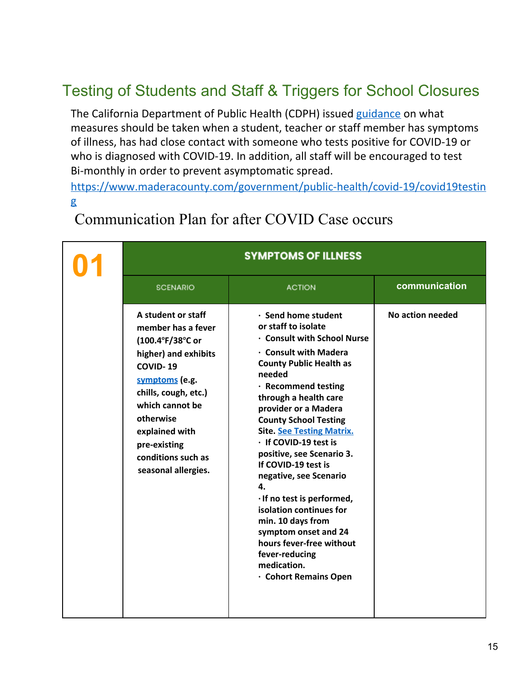# <span id="page-16-0"></span>Testing of Students and Staff & Triggers for School Closures

The California Department of Public Health (CDPH) issued [guidance](https://www.cdph.ca.gov/Programs/CID/DCDC/CDPH%20Document%20Library/COVID-19/Schools%20Reopening%20Recommendations.pdf) on what measures should be taken when a student, teacher or staff member has symptoms of illness, has had close contact with someone who tests positive for COVID-19 or who is diagnosed with COVID-19. In addition, all staff will be encouraged to test Bi-monthly in order to prevent asymptomatic spread.

[https://www.maderacounty.com/government/public-health/covid-19/covid19testin](https://www.maderacounty.com/government/public-health/covid-19/covid19testing) [g](https://www.maderacounty.com/government/public-health/covid-19/covid19testing)

| <b>SYMPTOMS OF ILLNESS</b>                                                                                                                                                                                                                                |                                                                                                                                                                                                                                                                                                                                                                                                                                                                                                                                                                                                               |                  |  |
|-----------------------------------------------------------------------------------------------------------------------------------------------------------------------------------------------------------------------------------------------------------|---------------------------------------------------------------------------------------------------------------------------------------------------------------------------------------------------------------------------------------------------------------------------------------------------------------------------------------------------------------------------------------------------------------------------------------------------------------------------------------------------------------------------------------------------------------------------------------------------------------|------------------|--|
| <b>SCENARIO</b>                                                                                                                                                                                                                                           | <b>ACTION</b>                                                                                                                                                                                                                                                                                                                                                                                                                                                                                                                                                                                                 | communication    |  |
| A student or staff<br>member has a fever<br>(100.4°F/38°C or<br>higher) and exhibits<br>COVID-19<br>symptoms (e.g.<br>chills, cough, etc.)<br>which cannot be<br>otherwise<br>explained with<br>pre-existing<br>conditions such as<br>seasonal allergies. | · Send home student<br>or staff to isolate<br><b>Consult with School Nurse</b><br><b>Consult with Madera</b><br><b>County Public Health as</b><br>needed<br>· Recommend testing<br>through a health care<br>provider or a Madera<br><b>County School Testing</b><br><b>Site. See Testing Matrix.</b><br>· If COVID-19 test is<br>positive, see Scenario 3.<br>If COVID-19 test is<br>negative, see Scenario<br>4.<br>· If no test is performed,<br>isolation continues for<br>min. 10 days from<br>symptom onset and 24<br>hours fever-free without<br>fever-reducing<br>medication.<br>· Cohort Remains Open | No action needed |  |

# Communication Plan for after COVID Case occurs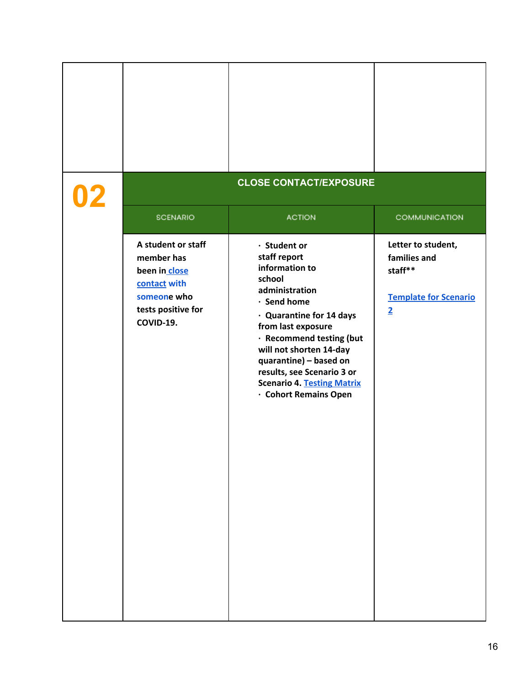|                                                                                                                     | <b>CLOSE CONTACT/EXPOSURE</b>                                                                                                                                                                                                                                                                                            |                                                                                                 |
|---------------------------------------------------------------------------------------------------------------------|--------------------------------------------------------------------------------------------------------------------------------------------------------------------------------------------------------------------------------------------------------------------------------------------------------------------------|-------------------------------------------------------------------------------------------------|
| <b>SCENARIO</b>                                                                                                     | <b>ACTION</b>                                                                                                                                                                                                                                                                                                            | <b>COMMUNICATION</b>                                                                            |
| A student or staff<br>member has<br>been in close<br>contact with<br>someone who<br>tests positive for<br>COVID-19. | · Student or<br>staff report<br>information to<br>school<br>administration<br>· Send home<br>· Quarantine for 14 days<br>from last exposure<br>· Recommend testing (but<br>will not shorten 14-day<br>quarantine) - based on<br>results, see Scenario 3 or<br><b>Scenario 4. Testing Matrix</b><br>· Cohort Remains Open | Letter to student,<br>families and<br>staff**<br><b>Template for Scenario</b><br>$\overline{2}$ |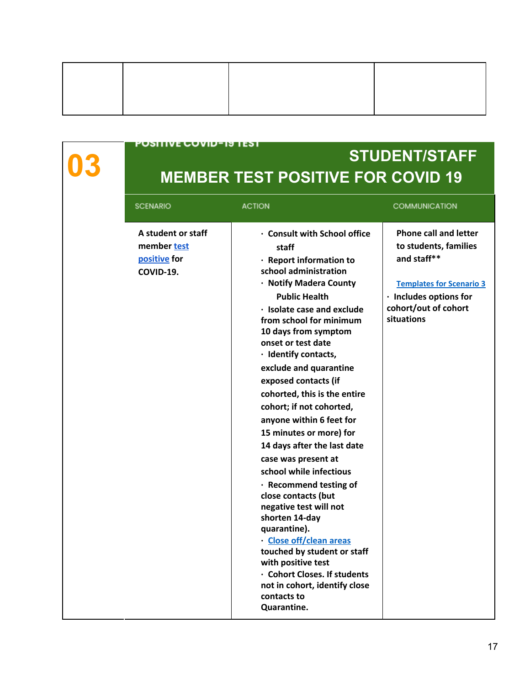PUSITIVE GOVID-19 TEST

# **03 STUDENT/STAFF MEMBER TEST POSITIVE FOR COVID 19**

| <b>SCENARIO</b>                                                |
|----------------------------------------------------------------|
| A student or staff<br>member test<br>positive for<br>COVID-19. |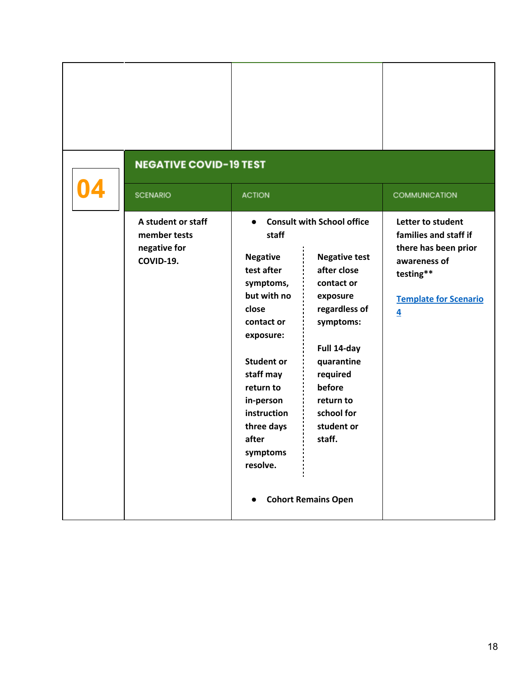| <b>NEGATIVE COVID-19 TEST</b>                                   |                                                                                                                                                                                                                                               |                                                                                                                                                                                                                                                                      |                                                                                                                                                            |
|-----------------------------------------------------------------|-----------------------------------------------------------------------------------------------------------------------------------------------------------------------------------------------------------------------------------------------|----------------------------------------------------------------------------------------------------------------------------------------------------------------------------------------------------------------------------------------------------------------------|------------------------------------------------------------------------------------------------------------------------------------------------------------|
| <b>SCENARIO</b>                                                 | <b>ACTION</b>                                                                                                                                                                                                                                 |                                                                                                                                                                                                                                                                      | COMMUNICATION                                                                                                                                              |
| A student or staff<br>member tests<br>negative for<br>COVID-19. | $\bullet$<br>staff<br><b>Negative</b><br>test after<br>symptoms,<br>but with no<br>close<br>contact or<br>exposure:<br><b>Student or</b><br>staff may<br>return to<br>in-person<br>instruction<br>three days<br>after<br>symptoms<br>resolve. | <b>Consult with School office</b><br><b>Negative test</b><br>after close<br>contact or<br>exposure<br>regardless of<br>symptoms:<br>Full 14-day<br>quarantine<br>required<br>before<br>return to<br>school for<br>student or<br>staff.<br><b>Cohort Remains Open</b> | Letter to student<br>families and staff if<br>there has been prior<br>awareness of<br>testing**<br><b>Template for Scenario</b><br>$\overline{\mathbf{4}}$ |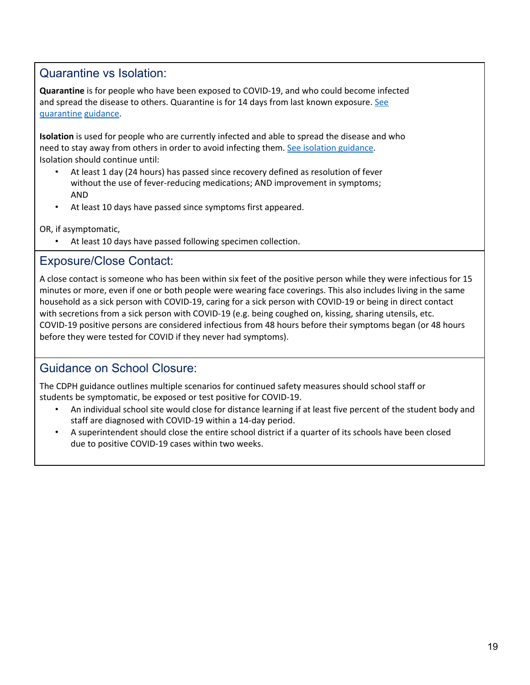## Quarantine vs Isolation:

**Quarantine** is for people who have been exposed to COVID-19, and who could become infected and spread the disease to others. Quarantine is for 14 days from last known exposure. [See](https://www.cdc.gov/coronavirus/2019-ncov/if-you-are-sick/quarantine.html) [quarantine](https://www.cdc.gov/coronavirus/2019-ncov/if-you-are-sick/quarantine.html) guidance.

**Isolation** is used for people who are currently infected and able to spread the disease and who need to stay away from others in order to avoid infecting them. See isolation [guidance](https://www.cdc.gov/coronavirus/2019-ncov/if-you-are-sick/isolation.html). Isolation should continue until:

- At least 1 day (24 hours) has passed since recovery defined as resolution of fever without the use of fever-reducing medications; AND improvement in symptoms; AND
- At least 10 days have passed since symptoms first appeared.

OR, if asymptomatic,

At least 10 days have passed following specimen collection.

#### Exposure/Close Contact:

A close contact is someone who has been within six feet of the positive person while they were infectious for 15 minutes or more, even if one or both people were wearing face coverings. This also includes living in the same household as a sick person with COVID-19, caring for a sick person with COVID-19 or being in direct contact with secretions from a sick person with COVID-19 (e.g. being coughed on, kissing, sharing utensils, etc. COVID-19 positive persons are considered infectious from 48 hours before their symptoms began (or 48 hours before they were tested for COVID if they never had symptoms).

## Guidance on School Closure:

The CDPH guidance outlines multiple scenarios for continued safety measures should school staff or students be symptomatic, be exposed or test positive for COVID-19.

- An individual school site would close for distance learning if at least five percent of the student body and staff are diagnosed with COVID-19 within a 14-day period.
- A superintendent should close the entire school district if a quarter of its schools have been closed due to positive COVID-19 cases within two weeks.